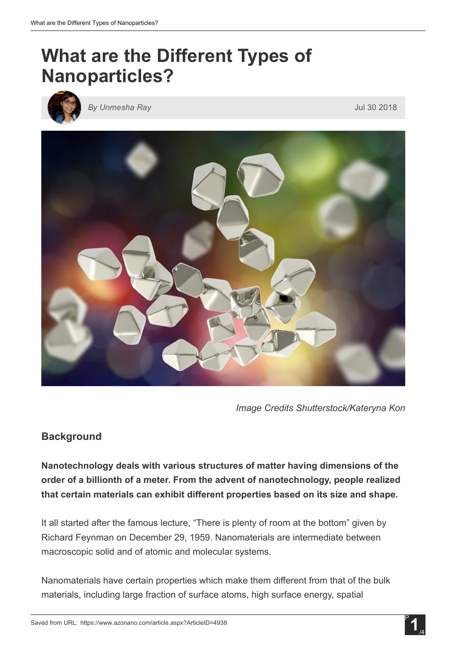# What are the Different Types of Nanoparticles?



*By Unmesha Ray* Jul 30 2018



*Image Credits Shutterstock/Kateryna Kon*

## **Background**

Nanotechnology deals with various structures of matter having dimensions of the order of a billionth of a meter. From the advent of nanotechnology, people realized that certain materials can exhibit different properties based on its size and shape.

It all started after the famous lecture, "There is plenty of room at the bottom" given by Richard Feynman on December 29, 1959. Nanomaterials are intermediate between macroscopic solid and of atomic and molecular systems.

Nanomaterials have certain properties which make them different from that of the bulk materials, including large fraction of surface atoms, high surface energy, spatial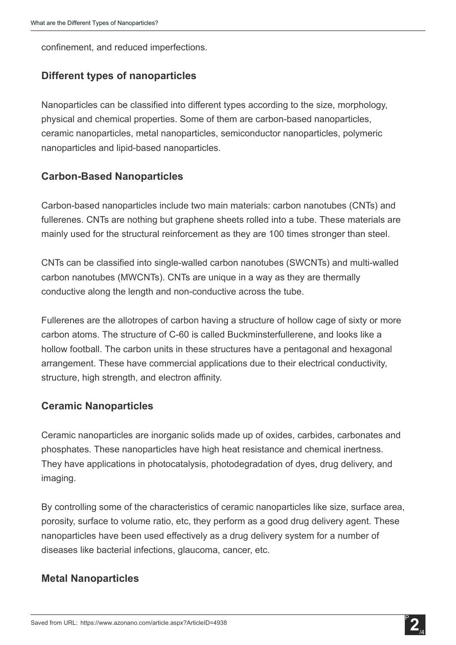confinement, and reduced imperfections.

## Different types of nanoparticles

Nanoparticles can be classified into different types according to the size, morphology, physical and chemical properties. Some of them are carbon-based nanoparticles, ceramic nanoparticles, metal nanoparticles, semiconductor nanoparticles, polymeric nanoparticles and lipid-based nanoparticles.

## **Carbon-Based Nanoparticles**

Carbon-based nanoparticles include two main materials: carbon nanotubes (CNTs) and fullerenes. CNTs are nothing but graphene sheets rolled into a tube. These materials are mainly used for the structural reinforcement as they are 100 times stronger than steel.

CNTs can be classified into single-walled carbon nanotubes (SWCNTs) and multi-walled carbon nanotubes (MWCNTs). CNTs are unique in a way as they are thermally conductive along the length and non-conductive across the tube.

Fullerenes are the allotropes of carbon having a structure of hollow cage of sixty or more carbon atoms. The structure of C-60 is called Buckminsterfullerene, and looks like a hollow football. The carbon units in these structures have a pentagonal and hexagonal arrangement. These have commercial applications due to their electrical conductivity, structure, high strength, and electron affinity.

#### Ceramic Nanoparticles

Ceramic nanoparticles are inorganic solids made up of oxides, carbides, carbonates and phosphates. These nanoparticles have high heat resistance and chemical inertness. They have applications in photocatalysis, photodegradation of dyes, drug delivery, and imaging.

By controlling some of the characteristics of ceramic nanoparticles like size, surface area, porosity, surface to volume ratio, etc, they perform as a good drug delivery agent. These nanoparticles have been used effectively as a drug delivery system for a number of diseases like bacterial infections, glaucoma, cancer, etc.

#### Metal Nanoparticles

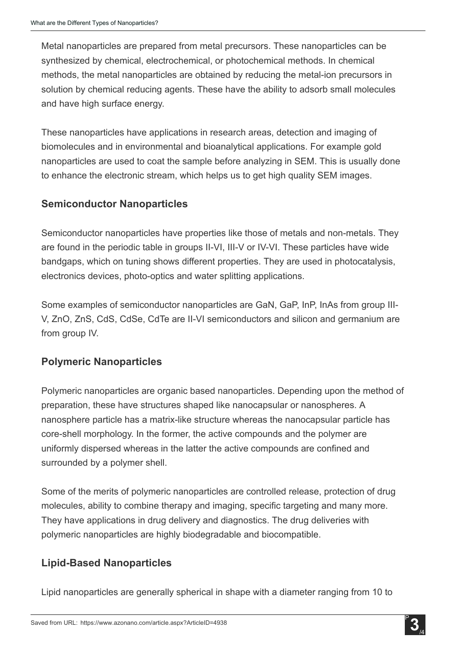Metal nanoparticles are prepared from metal precursors. These nanoparticles can be synthesized by chemical, electrochemical, or photochemical methods. In chemical methods, the metal nanoparticles are obtained by reducing the metal-ion precursors in solution by chemical reducing agents. These have the ability to adsorb small molecules and have high surface energy.

These nanoparticles have applications in research areas, detection and imaging of biomolecules and in environmental and bioanalytical applications. For example gold nanoparticles are used to coat the sample before analyzing in SEM. This is usually done to enhance the electronic stream, which helps us to get high quality SEM images.

## Semiconductor Nanoparticles

Semiconductor nanoparticles have properties like those of metals and non-metals. They are found in the periodic table in groups II-VI, III-V or IV-VI. These particles have wide bandgaps, which on tuning shows different properties. They are used in photocatalysis, electronics devices, photo-optics and water splitting applications.

Some examples of semiconductor nanoparticles are GaN, GaP, InP, InAs from group III-V, ZnO, ZnS, CdS, CdSe, CdTe are II-VI semiconductors and silicon and germanium are from group IV.

## Polymeric Nanoparticles

Polymeric nanoparticles are organic based nanoparticles. Depending upon the method of preparation, these have structures shaped like nanocapsular or nanospheres. A nanosphere particle has a matrix-like structure whereas the nanocapsular particle has coreshell morphology. In the former, the active compounds and the polymer are uniformly dispersed whereas in the latter the active compounds are confined and surrounded by a polymer shell.

Some of the merits of polymeric nanoparticles are controlled release, protection of drug molecules, ability to combine therapy and imaging, specific targeting and many more. They have applications in drug delivery and diagnostics. The drug deliveries with polymeric nanoparticles are highly biodegradable and biocompatible.

## **Lipid-Based Nanoparticles**

Lipid nanoparticles are generally spherical in shape with a diameter ranging from 10 to